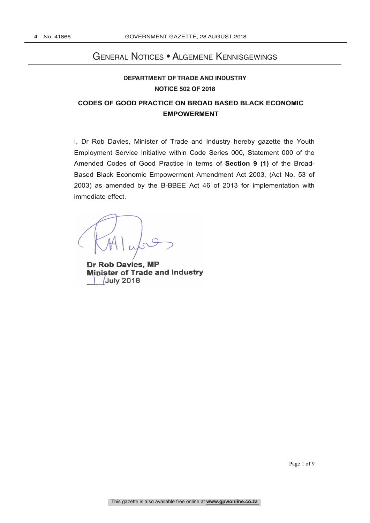# General Notices • Algemene Kennisgewings

# **DEPARTMENT OF TRADE AND INDUSTRY NOTICE 502 OF 2018**

# **CODES OF GOOD PRACTICE ON BROAD BASED BLACK ECONOMIC EMPOWERMENT**

I, Dr Rob Davies, Minister of Trade and Industry hereby gazette the Youth Employment Service Initiative within Code Series 000, Statement 000 of the Amended Codes of Good Practice in terms of **Section 9 (1)** of the Broad-Based Black Economic Empowerment Amendment Act 2003, (Act No. 53 of 2003) as amended by the B-BBEE Act 46 of 2013 for implementation with immediate effect.

 $\epsilon$  $\cup$   $\cup$   $\cup$   $\cup$ 

**Dr Rob Davies, MP** Minister of Trade and Industry July 2018 **\_\_\_\_\_/\_\_\_\_\_/2018Dr Rob Davies, MP** 

Page 1 of 9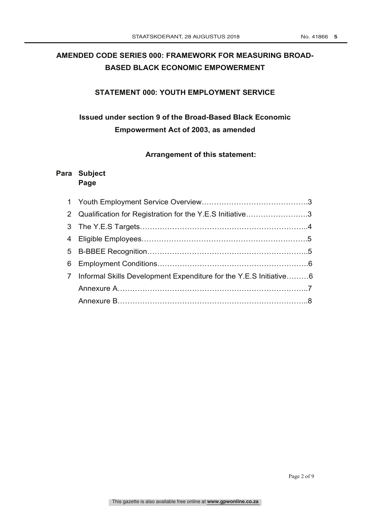# **AMENDED CODE SERIES 000: FRAMEWORK FOR MEASURING BROAD-BASED BLACK ECONOMIC EMPOWERMENT**

### **STATEMENT 000: YOUTH EMPLOYMENT SERVICE**

# **Issued under section 9 of the Broad-Based Black Economic Empowerment Act of 2003, as amended**

#### **Arrangement of this statement:**

## **Para Subject Page**

| 2 Qualification for Registration for the Y.E.S Initiative3          |  |
|---------------------------------------------------------------------|--|
|                                                                     |  |
|                                                                     |  |
|                                                                     |  |
|                                                                     |  |
| 7 Informal Skills Development Expenditure for the Y.E.S Initiative6 |  |
|                                                                     |  |
|                                                                     |  |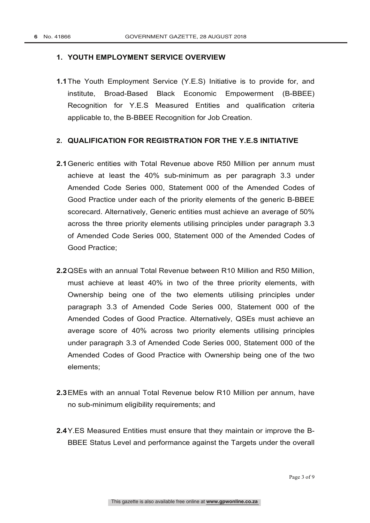#### **1. YOUTH EMPLOYMENT SERVICE OVERVIEW**

**1.1**The Youth Employment Service (Y.E.S) Initiative is to provide for, and institute, Broad-Based Black Economic Empowerment (B-BBEE) Recognition for Y.E.S Measured Entities and qualification criteria applicable to, the B-BBEE Recognition for Job Creation.

#### **2. QUALIFICATION FOR REGISTRATION FOR THE Y.E.S INITIATIVE**

- **2.1**Generic entities with Total Revenue above R50 Million per annum must achieve at least the 40% sub-minimum as per paragraph 3.3 under Amended Code Series 000, Statement 000 of the Amended Codes of Good Practice under each of the priority elements of the generic B-BBEE scorecard. Alternatively, Generic entities must achieve an average of 50% across the three priority elements utilising principles under paragraph 3.3 of Amended Code Series 000, Statement 000 of the Amended Codes of Good Practice;
- **2.2**QSEs with an annual Total Revenue between R10 Million and R50 Million, must achieve at least 40% in two of the three priority elements, with Ownership being one of the two elements utilising principles under paragraph 3.3 of Amended Code Series 000, Statement 000 of the Amended Codes of Good Practice. Alternatively, QSEs must achieve an average score of 40% across two priority elements utilising principles under paragraph 3.3 of Amended Code Series 000, Statement 000 of the Amended Codes of Good Practice with Ownership being one of the two elements;
- **2.3**EMEs with an annual Total Revenue below R10 Million per annum, have no sub-minimum eligibility requirements; and
- **2.4**Y.ES Measured Entities must ensure that they maintain or improve the B-BBEE Status Level and performance against the Targets under the overall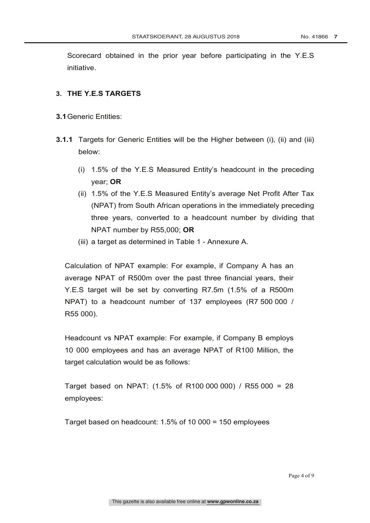Scorecard obtained in the prior year before participating in the Y.E.S initiative.

### **3. THE Y.E.S TARGETS**

- **3.1**Generic Entities:
- **3.1.1** Targets for Generic Entities will be the Higher between (i), (ii) and (iii) below:
	- (i) 1.5% of the Y.E.S Measured Entity's headcount in the preceding year; **OR**
	- (ii) 1.5% of the Y.E.S Measured Entity's average Net Profit After Tax (NPAT) from South African operations in the immediately preceding three years, converted to a headcount number by dividing that NPAT number by R55,000; **OR**
	- (iii) a target as determined in Table 1 Annexure A.

Calculation of NPAT example: For example, if Company A has an average NPAT of R500m over the past three financial years, their Y.E.S target will be set by converting R7.5m (1.5% of a R500m NPAT) to a headcount number of 137 employees (R7 500 000 / R55 000).

Headcount vs NPAT example: For example, if Company B employs 10 000 employees and has an average NPAT of R100 Million, the target calculation would be as follows:

Target based on NPAT: (1.5% of R100 000 000) / R55 000 = 28 employees:

Target based on headcount: 1.5% of 10 000 = 150 employees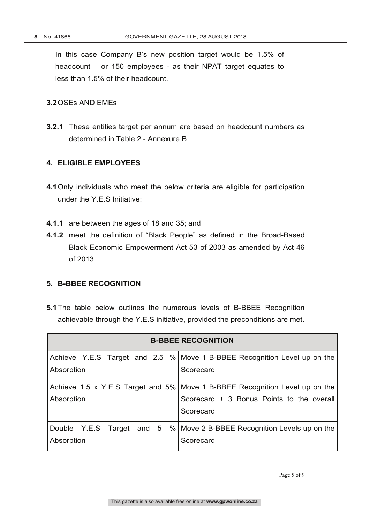In this case Company B's new position target would be 1.5% of headcount – or 150 employees - as their NPAT target equates to less than 1.5% of their headcount.

#### **3.2**QSEs AND EMEs

**3.2.1** These entities target per annum are based on headcount numbers as determined in Table 2 - Annexure B.

## **4. ELIGIBLE EMPLOYEES**

- **4.1**Only individuals who meet the below criteria are eligible for participation under the Y.E.S Initiative:
- **4.1.1** are between the ages of 18 and 35; and
- **4.1.2** meet the definition of "Black People" as defined in the Broad-Based Black Economic Empowerment Act 53 of 2003 as amended by Act 46 of 2013

#### **5. B-BBEE RECOGNITION**

**5.1**The table below outlines the numerous levels of B-BBEE Recognition achievable through the Y.E.S initiative, provided the preconditions are met.

| <b>B-BBEE RECOGNITION</b> |                                                                             |  |  |
|---------------------------|-----------------------------------------------------------------------------|--|--|
|                           | Achieve Y.E.S Target and 2.5 % Move 1 B-BBEE Recognition Level up on the    |  |  |
| Absorption                | Scorecard                                                                   |  |  |
|                           | Achieve 1.5 x Y.E.S Target and 5% Move 1 B-BBEE Recognition Level up on the |  |  |
| Absorption                | Scorecard + 3 Bonus Points to the overall                                   |  |  |
|                           | Scorecard                                                                   |  |  |
|                           | Double Y.E.S Target and 5 % Move 2 B-BBEE Recognition Levels up on the      |  |  |
| Absorption                | Scorecard                                                                   |  |  |

Page 5 of 9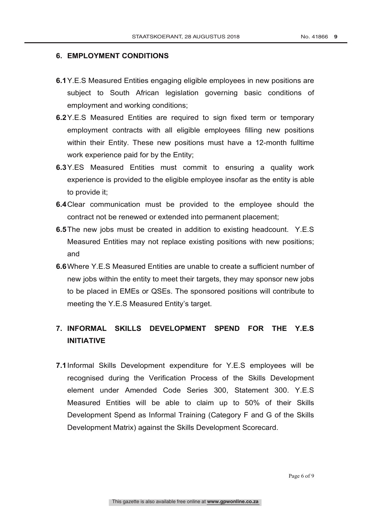#### **6. EMPLOYMENT CONDITIONS**

- **6.1**Y.E.S Measured Entities engaging eligible employees in new positions are subject to South African legislation governing basic conditions of employment and working conditions;
- **6.2**Y.E.S Measured Entities are required to sign fixed term or temporary employment contracts with all eligible employees filling new positions within their Entity. These new positions must have a 12-month fulltime work experience paid for by the Entity;
- **6.3**Y.ES Measured Entities must commit to ensuring a quality work experience is provided to the eligible employee insofar as the entity is able to provide it;
- **6.4**Clear communication must be provided to the employee should the contract not be renewed or extended into permanent placement;
- **6.5**The new jobs must be created in addition to existing headcount. Y.E.S Measured Entities may not replace existing positions with new positions; and
- **6.6**Where Y.E.S Measured Entities are unable to create a sufficient number of new jobs within the entity to meet their targets, they may sponsor new jobs to be placed in EMEs or QSEs. The sponsored positions will contribute to meeting the Y.E.S Measured Entity's target.

# **7. INFORMAL SKILLS DEVELOPMENT SPEND FOR THE Y.E.S INITIATIVE**

**7.1**Informal Skills Development expenditure for Y.E.S employees will be recognised during the Verification Process of the Skills Development element under Amended Code Series 300, Statement 300. Y.E.S Measured Entities will be able to claim up to 50% of their Skills Development Spend as Informal Training (Category F and G of the Skills Development Matrix) against the Skills Development Scorecard.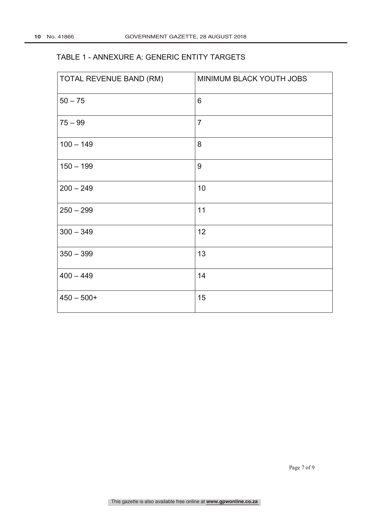## TABLE 1 - ANNEXURE A: GENERIC ENTITY TARGETS

| TOTAL REVENUE BAND (RM) | MINIMUM BLACK YOUTH JOBS |  |
|-------------------------|--------------------------|--|
| $50 - 75$               | $6\phantom{1}$           |  |
| $75 - 99$               | $\overline{7}$           |  |
| $100 - 149$             | 8                        |  |
| $150 - 199$             | 9                        |  |
| $200 - 249$             | 10                       |  |
| $250 - 299$             | 11                       |  |
| $300 - 349$             | 12                       |  |
| $350 - 399$             | 13                       |  |
| $400 - 449$             | 14                       |  |
| $450 - 500+$            | 15                       |  |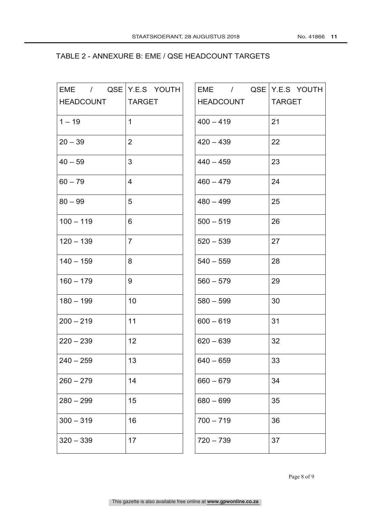#### TABLE 2 - ANNEXURE B: EME / QSE HEADCOUNT TARGETS

| EME / QSE Y.E.S YOUTH |                | EME / QSE Y.E.S YOUTH |               |
|-----------------------|----------------|-----------------------|---------------|
| <b>HEADCOUNT</b>      | <b>TARGET</b>  | <b>HEADCOUNT</b>      | <b>TARGET</b> |
| $1 - 19$              | $\mathbf{1}$   | $400 - 419$           | 21            |
| $20 - 39$             | $\overline{2}$ | $420 - 439$           | 22            |
| $40 - 59$             | 3              | $440 - 459$           | 23            |
| $60 - 79$             | $\overline{4}$ | $460 - 479$           | 24            |
| $80 - 99$             | 5              | $480 - 499$           | 25            |
| $100 - 119$           | 6              | $500 - 519$           | 26            |
| $120 - 139$           | $\overline{7}$ | $520 - 539$           | 27            |
| $140 - 159$           | 8              | $540 - 559$           | 28            |
| $160 - 179$           | 9              | $560 - 579$           | 29            |
| $180 - 199$           | 10             | $580 - 599$           | 30            |
| $200 - 219$           | 11             | $600 - 619$           | 31            |
| $220 - 239$           | 12             | $620 - 639$           | 32            |
| $240 - 259$           | 13             | $640 - 659$           | 33            |
| $260 - 279$           | 14             | $660 - 679$           | 34            |
| $280 - 299$           | 15             | $680 - 699$           | 35            |
| $300 - 319$           | 16             | $700 - 719$           | 36            |
| $320 - 339$           | 17             | $720 - 739$           | 37            |
|                       |                |                       |               |

Page 8 of 9